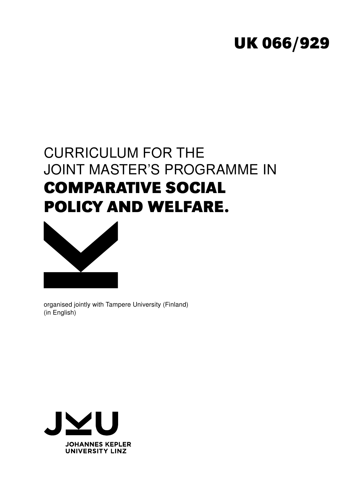# **UK 066/929**

# CURRICULUM FOR THE JOINT MASTER'S PROGRAMME IN **COMPARATIVE SOCIAL POLICY AND WELFARE.**



organised jointly with Tampere University (Finland) (in English)

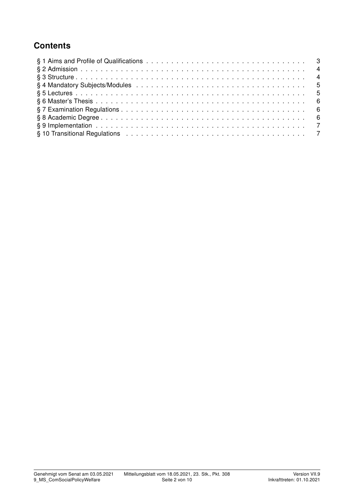## **Contents**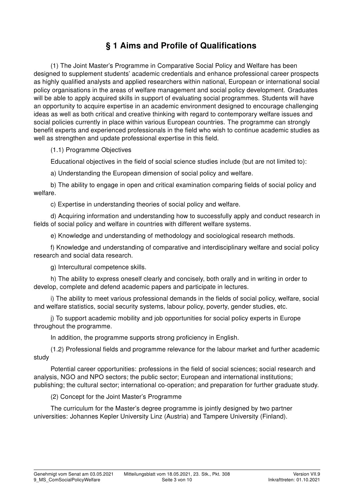## § 1 Aims and Profile of Qualifications

(1) The Joint Master's Programme in Comparative Social Policy and Welfare has been designed to supplement students' academic credentials and enhance professional career prospects as highly qualified analysts and applied researchers within national, European or international social policy organisations in the areas of welfare management and social policy development. Graduates will be able to apply acquired skills in support of evaluating social programmes. Students will have an opportunity to acquire expertise in an academic environment designed to encourage challenging ideas as well as both critical and creative thinking with regard to contemporary welfare issues and social policies currently in place within various European countries. The programme can strongly benefit experts and experienced professionals in the field who wish to continue academic studies as well as strengthen and update professional expertise in this field.

(1.1) Programme Objectives

Educational objectives in the field of social science studies include (but are not limited to):

a) Understanding the European dimension of social policy and welfare.

b) The ability to engage in open and critical examination comparing fields of social policy and welfare.

c) Expertise in understanding theories of social policy and welfare.

d) Acquiring information and understanding how to successfully apply and conduct research in fields of social policy and welfare in countries with different welfare systems.

e) Knowledge and understanding of methodology and sociological research methods.

f) Knowledge and understanding of comparative and interdisciplinary welfare and social policy research and social data research.

g) Intercultural competence skills.

h) The ability to express oneself clearly and concisely, both orally and in writing in order to develop, complete and defend academic papers and participate in lectures.

i) The ability to meet various professional demands in the fields of social policy, welfare, social and welfare statistics, social security systems, labour policy, poverty, gender studies, etc.

j) To support academic mobility and job opportunities for social policy experts in Europe throughout the programme.

In addition, the programme supports strong proficiency in English.

(1.2) Professional fields and programme relevance for the labour market and further academic study

Potential career opportunities: professions in the field of social sciences; social research and analysis, NGO and NPO sectors; the public sector; European and international institutions; publishing; the cultural sector; international co-operation; and preparation for further graduate study.

(2) Concept for the Joint Master's Programme

The curriculum for the Master's degree programme is jointly designed by two partner universities: Johannes Kepler University Linz (Austria) and Tampere University (Finland).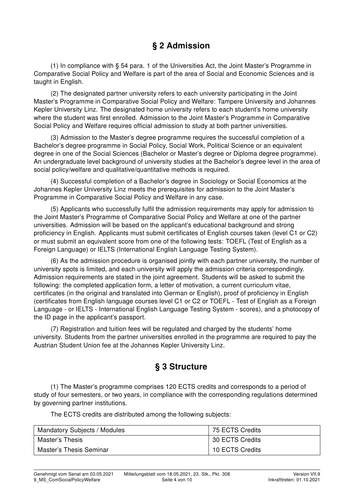## § 2 Admission

(1) In compliance with § 54 para. 1 of the Universities Act, the Joint Master's Programme in Comparative Social Policy and Welfare is part of the area of Social and Economic Sciences and is taught in English.

(2) The designated partner university refers to each university participating in the Joint Master's Programme in Comparative Social Policy and Welfare: Tampere University and Johannes Kepler University Linz. The designated home university refers to each student's home university where the student was first enrolled. Admission to the Joint Master's Programme in Comparative Social Policy and Welfare requires official admission to study at both partner universities.

(3) Admission to the Master's degree programme requires the successful completion of a Bachelor's degree programme in Social Policy, Social Work, Political Science or an equivalent degree in one of the Social Sciences (Bachelor or Master's degree or Diploma degree programme). An undergraduate level background of university studies at the Bachelor's degree level in the area of social policy/welfare and qualitative/quantitative methods is required.

(4) Successful completion of a Bachelor's degree in Sociology or Social Economics at the Johannes Kepler University Linz meets the prerequisites for admission to the Joint Master's Programme in Comparative Social Policy and Welfare in any case.

(5) Applicants who successfully fulfil the admission requirements may apply for admission to the Joint Master's Programme of Comparative Social Policy and Welfare at one of the partner universities. Admission will be based on the applicant's educational background and strong proficiency in English. Applicants must submit certificates of English courses taken (level C1 or C2) or must submit an equivalent score from one of the following tests: TOEFL (Test of English as a Foreign Language) or IELTS (International English Language Testing System).

(6) As the admission procedure is organised jointly with each partner university, the number of university spots is limited, and each university will apply the admission criteria correspondingly. Admission requirements are stated in the joint agreement. Students will be asked to submit the following: the completed application form, a letter of motivation, a current curriculum vitae, certificates (in the original and translated into German or English), proof of proficiency in English (certificates from English language courses level C1 or C2 or TOEFL - Test of English as a Foreign Language - or IELTS - International English Language Testing System - scores), and a photocopy of the ID page in the applicant's passport.

(7) Registration and tuition fees will be regulated and charged by the students' home university. Students from the partner universities enrolled in the programme are required to pay the Austrian Student Union fee at the Johannes Kepler University Linz.

## § 3 Structure

(1) The Master's programme comprises 120 ECTS credits and corresponds to a period of study of four semesters, or two years, in compliance with the corresponding regulations determined by governing partner institutions.

The ECTS credits are distributed among the following subjects:

| Mandatory Subjects / Modules | 75 ECTS Credits |
|------------------------------|-----------------|
| Master's Thesis              | 30 ECTS Credits |
| Master's Thesis Seminar      | 10 ECTS Credits |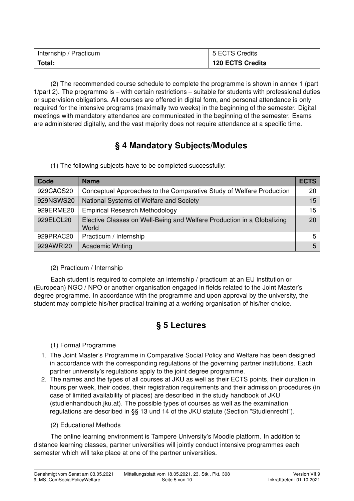| Internship / Practicum | 5 ECTS Credits          |  |
|------------------------|-------------------------|--|
| Total:                 | <b>120 ECTS Credits</b> |  |

(2) The recommended course schedule to complete the programme is shown in annex 1 (part 1/part 2). The programme is – with certain restrictions – suitable for students with professional duties or supervision obligations. All courses are offered in digital form, and personal attendance is only required for the intensive programs (maximally two weeks) in the beginning of the semester. Digital meetings with mandatory attendance are communicated in the beginning of the semester. Exams are administered digitally, and the vast majority does not require attendance at a specific time.

## § 4 Mandatory Subjects/Modules

(1) The following subjects have to be completed successfully:

| Code      | <b>Name</b>                                                                     | <b>ECTS</b> |
|-----------|---------------------------------------------------------------------------------|-------------|
| 929CACS20 | Conceptual Approaches to the Comparative Study of Welfare Production            | 20          |
| 929NSWS20 | National Systems of Welfare and Society                                         | 15          |
| 929ERME20 | <b>Empirical Research Methodology</b>                                           | 15          |
| 929ELCL20 | Elective Classes on Well-Being and Welfare Production in a Globalizing<br>World | 20          |
| 929PRAC20 | Practicum / Internship                                                          | 5           |
| 929AWRI20 | <b>Academic Writing</b>                                                         | 5           |

#### (2) Practicum / Internship

Each student is required to complete an internship / practicum at an EU institution or (European) NGO / NPO or another organisation engaged in fields related to the Joint Master's degree programme. In accordance with the programme and upon approval by the university, the student may complete his/her practical training at a working organisation of his/her choice.

# § 5 Lectures

#### (1) Formal Programme

- 1. The Joint Master's Programme in Comparative Social Policy and Welfare has been designed in accordance with the corresponding regulations of the governing partner institutions. Each partner university's regulations apply to the joint degree programme.
- 2. The names and the types of all courses at JKU as well as their ECTS points, their duration in hours per week, their codes, their registration requirements and their admission procedures (in case of limited availability of places) are described in the study handbook of JKU (studienhandbuch.jku.at). The possible types of courses as well as the examination regulations are described in §§ 13 und 14 of the JKU statute (Section "Studienrecht").

#### (2) Educational Methods

The online learning environment is Tampere University's Moodle platform. In addition to distance learning classes, partner universities will jointly conduct intensive programmes each semester which will take place at one of the partner universities.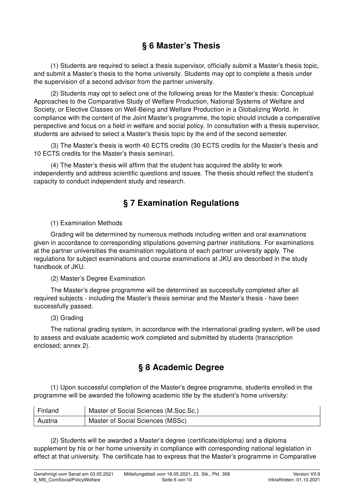## § 6 Master's Thesis

(1) Students are required to select a thesis supervisor, officially submit a Master's thesis topic, and submit a Master's thesis to the home university. Students may opt to complete a thesis under the supervision of a second advisor from the partner university.

(2) Students may opt to select one of the following areas for the Master's thesis: Conceptual Approaches to the Comparative Study of Welfare Production, National Systems of Welfare and Society, or Elective Classes on Well-Being and Welfare Production in a Globalizing World. In compliance with the content of the Joint Master's programme, the topic should include a comparative perspective and focus on a field in welfare and social policy. In consultation with a thesis supervisor, students are advised to select a Master's thesis topic by the end of the second semester.

(3) The Master's thesis is worth 40 ECTS credits (30 ECTS credits for the Master's thesis and 10 ECTS credits for the Master's thesis seminar).

(4) The Master's thesis will affirm that the student has acquired the ability to work independently and address scientific questions and issues. The thesis should reflect the student's capacity to conduct independent study and research.

### § 7 Examination Regulations

(1) Examination Methods

Grading will be determined by numerous methods including written and oral examinations given in accordance to corresponding stipulations governing partner institutions. For examinations at the partner universities the examination regulations of each partner university apply. The regulations for subject examinations and course examinations at JKU are described in the study handbook of JKU.

(2) Master's Degree Examination

The Master's degree programme will be determined as successfully completed after all required subjects - including the Master's thesis seminar and the Master's thesis - have been successfully passed.

#### (3) Grading

The national grading system, in accordance with the international grading system, will be used to assess and evaluate academic work completed and submitted by students (transcription enclosed; annex 2).

## § 8 Academic Degree

(1) Upon successful completion of the Master's degree programme, students enrolled in the programme will be awarded the following academic title by the student's home university:

| Finland | Master of Social Sciences (M.Soc.Sc.) |
|---------|---------------------------------------|
| Austria | Master of Social Sciences (MSSc)      |

(2) Students will be awarded a Master's degree (certificate/diploma) and a diploma supplement by his or her home university in compliance with corresponding national legislation in effect at that university. The certificate has to express that the Master's programme in Comparative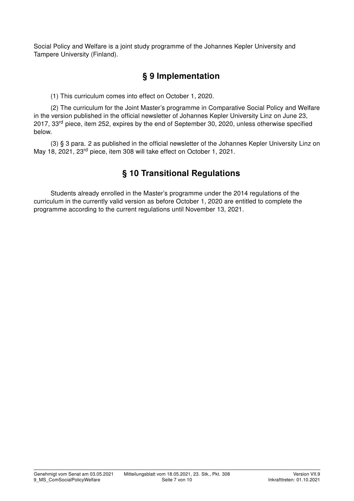Social Policy and Welfare is a joint study programme of the Johannes Kepler University and Tampere University (Finland).

## § 9 Implementation

(1) This curriculum comes into effect on October 1, 2020.

(2) The curriculum for the Joint Master's programme in Comparative Social Policy and Welfare in the version published in the official newsletter of Johannes Kepler University Linz on June 23, 2017, 33rd piece, item 252, expires by the end of September 30, 2020, unless otherwise specified below.

(3) § 3 para. 2 as published in the official newsletter of the Johannes Kepler University Linz on May 18, 2021, 23rd piece, item 308 will take effect on October 1, 2021.

# § 10 Transitional Regulations

Students already enrolled in the Master's programme under the 2014 regulations of the curriculum in the currently valid version as before October 1, 2020 are entitled to complete the programme according to the current regulations until November 13, 2021.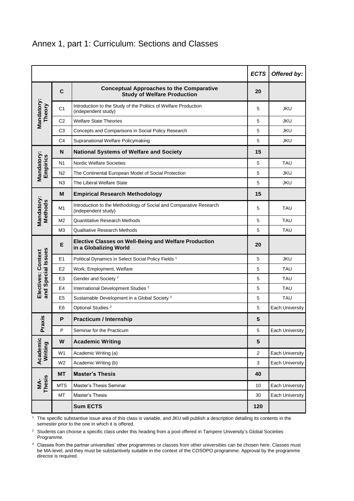|                                          |                |                                                                                           | <b>ECTS</b>    | Offered by:            |  |
|------------------------------------------|----------------|-------------------------------------------------------------------------------------------|----------------|------------------------|--|
|                                          | $\mathbf c$    | <b>Conceptual Approaches to the Comparative</b><br><b>Study of Welfare Production</b>     | 20             |                        |  |
| Mandatory:<br>Theory                     | C <sub>1</sub> | Introduction to the Study of the Politics of Welfare Production<br>(independent study)    | 5              | <b>JKU</b>             |  |
|                                          | C <sub>2</sub> | <b>Welfare State Theories</b>                                                             | 5              | <b>JKU</b>             |  |
|                                          | C <sub>3</sub> | Concepts and Comparisons in Social Policy Research                                        | 5              | <b>JKU</b>             |  |
|                                          | C <sub>4</sub> | Supranational Welfare Policymaking                                                        | 5              | <b>JKU</b>             |  |
|                                          | N              | <b>National Systems of Welfare and Society</b>                                            | 15             |                        |  |
| Mandatory:<br>Empirics                   | N <sub>1</sub> | <b>Nordic Welfare Societies</b>                                                           | 5              | <b>TAU</b>             |  |
|                                          | N <sub>2</sub> | The Continental European Model of Social Protection                                       | 5              | JKU                    |  |
|                                          | N <sub>3</sub> | The Liberal Welfare State                                                                 | 5              | JKU                    |  |
|                                          | М              | <b>Empirical Research Methodology</b>                                                     | 15             |                        |  |
| Mandatory:<br>Methods                    | M1             | Introduction to the Methodology of Social and Comparative Research<br>(independent study) | 5              | <b>TAU</b>             |  |
|                                          | M <sub>2</sub> | Quantitative Research Methods                                                             | 5              | <b>TAU</b>             |  |
|                                          | M <sub>3</sub> | <b>Qualitative Research Methods</b>                                                       | 5              | <b>TAU</b>             |  |
|                                          | E              | <b>Elective Classes on Well-Being and Welfare Production</b><br>in a Globalizing World    | 20             |                        |  |
| and Special Issues<br>Electives: Context | E <sub>1</sub> | Political Dynamics in Select Social Policy Fields <sup>1</sup>                            | 5              | <b>JKU</b>             |  |
|                                          | E <sub>2</sub> | Work, Employment, Welfare                                                                 | 5              | <b>TAU</b>             |  |
|                                          | E <sub>3</sub> | Gender and Society <sup>2</sup>                                                           | 5              | <b>TAU</b>             |  |
|                                          | E <sub>4</sub> | International Development Studies <sup>2</sup>                                            | 5              | <b>TAU</b>             |  |
|                                          | E <sub>5</sub> | Sustainable Development in a Global Society <sup>2</sup>                                  | 5              | <b>TAU</b>             |  |
|                                          | E <sub>6</sub> | Optional Studies <sup>3</sup>                                                             | 5              | Each University        |  |
| <b>Praxis</b>                            | P              | <b>Practicum / Internship</b>                                                             | 5              |                        |  |
|                                          | Ρ              | Seminar for the Practicum                                                                 | 5              | Each University        |  |
| Academic<br>Writing                      | W              | <b>Academic Writing</b>                                                                   | $5\phantom{1}$ |                        |  |
|                                          | W <sub>1</sub> | Academic Writing (a)                                                                      | $\overline{c}$ | <b>Each University</b> |  |
|                                          | W <sub>2</sub> | Academic Writing (b)                                                                      | 3              | Each University        |  |
|                                          | <b>MT</b>      | <b>Master's Thesis</b>                                                                    | 40             |                        |  |
| <b>Thesis</b><br>ŃM.                     | <b>MTS</b>     | Master's Thesis Seminar                                                                   | 10             | <b>Each University</b> |  |
|                                          | MT             | Master's Thesis                                                                           | 30             | Each University        |  |
|                                          |                | <b>Sum ECTS</b>                                                                           | 120            |                        |  |

<sup>1</sup> The specific substantive issue area of this class is variable, and JKU will publish a description detailing its contents in the semester prior to the one in which it is offered.

<sup>2</sup> Students can choose a specific class under this heading from a pool offered in Tampere University's Global Societies Programme.

<sup>3</sup> Classes from the partner universities' other programmes or classes from other universities can be chosen here. Classes must be MA-level, and they must be substantively suitable in the context of the COSOPO programme. Approval by the programme director is required.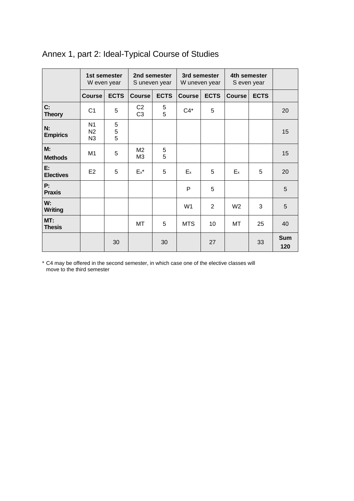|                        | 1st semester<br>W even year            |             | 2nd semester<br>S uneven year    |             | 3rd semester<br>W uneven year |                | 4th semester<br>S even year |             |                   |
|------------------------|----------------------------------------|-------------|----------------------------------|-------------|-------------------------------|----------------|-----------------------------|-------------|-------------------|
|                        | <b>Course</b>                          | <b>ECTS</b> | <b>Course</b>                    | <b>ECTS</b> | <b>Course</b>                 | <b>ECTS</b>    | <b>Course</b>               | <b>ECTS</b> |                   |
| C:<br><b>Theory</b>    | C <sub>1</sub>                         | 5           | C <sub>2</sub><br>C <sub>3</sub> | 5<br>5      | $C4^*$                        | 5              |                             |             | 20                |
| N:<br><b>Empirics</b>  | N <sub>1</sub><br>N2<br>N <sub>3</sub> | 5<br>5<br>5 |                                  |             |                               |                |                             |             | 15                |
| M:<br><b>Methods</b>   | M1                                     | 5           | M <sub>2</sub><br>M3             | 5<br>5      |                               |                |                             |             | 15                |
| E:<br><b>Electives</b> | E <sub>2</sub>                         | 5           | $Ex^*$                           | 5           | $E_{x}$                       | 5              | $E_{x}$                     | 5           | 20                |
| P:<br><b>Praxis</b>    |                                        |             |                                  |             | P                             | 5              |                             |             | 5                 |
| W:<br><b>Writing</b>   |                                        |             |                                  |             | W <sub>1</sub>                | $\overline{2}$ | W <sub>2</sub>              | 3           | 5                 |
| MT:<br><b>Thesis</b>   |                                        |             | МT                               | 5           | <b>MTS</b>                    | 10             | MT                          | 25          | 40                |
|                        |                                        | 30          |                                  | 30          |                               | 27             |                             | 33          | <b>Sum</b><br>120 |

# Annex 1, part 2: Ideal-Typical Course of Studies

\* C4 may be offered in the second semester, in which case one of the elective classes will move to the third semester